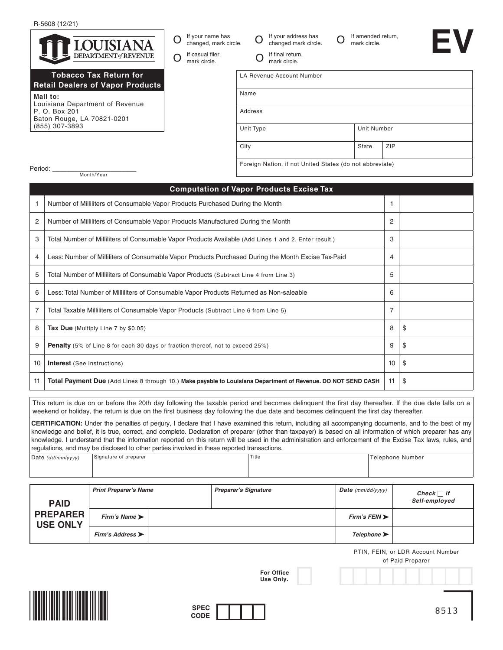R-5608 (12/21)



City Burn City State ZIP

Foreign Nation, if not United States (do not abbreviate)

Period:

Month/Year

## **Computation of Vapor Products Excise Tax** 1 Number of Milliliters of Consumable Vapor Products Purchased During the Month 1 2 Number of Milliliters of Consumable Vapor Products Manufactured During the Month 2 3 | Total Number of Milliliters of Consumable Vapor Products Available (Add Lines 1 and 2. Enter result.) 3 4 Less: Number of Milliliters of Consumable Vapor Products Purchased During the Month Excise Tax-Paid 4 5 Total Number of Milliliters of Consumable Vapor Products (Subtract Line 4 from Line 3) 3 6 Less: Total Number of Milliliters of Consumable Vapor Products Returned as Non-saleable 6 7 Total Taxable Milliliters of Consumable Vapor Products (Subtract Line 6 from Line 5) 7 8 **Tax Due** (Multiply Line 7 by \$0.05) 8  $\frac{1}{3}$ 9 **Penalty** (5% of Line 8 for each 30 days or fraction thereof, not to exceed 25%)  $\boxed{9}$  \$ 10 **Interest** (See Instructions) 10 \$ 11 **Total Payment Due** (Add Lines 8 through 10.) Make payable to Louisiana Department of Revenue. DO NOT SEND CASH 11 \\$

This return is due on or before the 20th day following the taxable period and becomes delinquent the first day thereafter. If the due date falls on a weekend or holiday, the return is due on the first business day following the due date and becomes delinquent the first day thereafter.

**CERTIFICATION:** Under the penalties of perjury, I declare that I have examined this return, including all accompanying documents, and to the best of my knowledge and belief, it is true, correct, and complete. Declaration of preparer (other than taxpayer) is based on all information of which preparer has any knowledge. I understand that the information reported on this return will be used in the administration and enforcement of the Excise Tax laws, rules, and regulations, and may be disclosed to other parties involved in these reported transactions.

| Date (dd/mm/yyyy) | Signature of preparer | Title | Telephone Number |  |
|-------------------|-----------------------|-------|------------------|--|
|                   |                       |       |                  |  |
|                   |                       |       |                  |  |

| <b>PAID</b><br><b>PREPARER</b><br><b>USE ONLY</b> | <b>Print Preparer's Name</b>         | <b>Preparer's Signature</b> | <b>Date</b> ( $mm/dd/(\gamma\gamma\gamma\gamma)$ ) | Check $\Box$ if<br>Self-employed |
|---------------------------------------------------|--------------------------------------|-----------------------------|----------------------------------------------------|----------------------------------|
|                                                   | Firm's Name                          |                             | Firm's FElN                                        |                                  |
|                                                   | Firm's Address $\blacktriangleright$ |                             | Telephone                                          |                                  |

**For Office Use Only.**

PTIN, FEIN, or LDR Account Number

of Paid Preparer